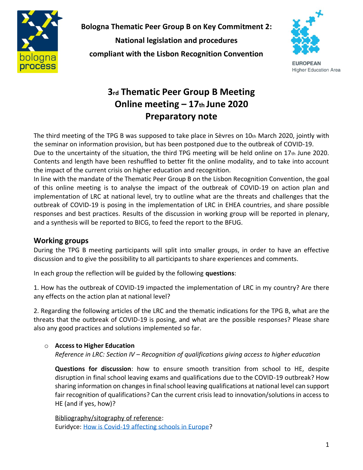

**Bologna Thematic Peer Group B on Key Commitment 2: National legislation and procedures compliant with the Lisbon Recognition Convention**



**EUROPEAN Higher Education Area** 

# **3rd Thematic Peer Group B Meeting Online meeting – 17th June 2020 Preparatory note**

The third meeting of the TPG B was supposed to take place in Sèvres on 10th March 2020, jointly with the seminar on information provision, but has been postponed due to the outbreak of COVID-19.

Due to the uncertainty of the situation, the third TPG meeting will be held online on  $17<sub>th</sub>$  June 2020. Contents and length have been reshuffled to better fit the online modality, and to take into account the impact of the current crisis on higher education and recognition.

In line with the mandate of the Thematic Peer Group B on the Lisbon Recognition Convention, the goal of this online meeting is to analyse the impact of the outbreak of COVID-19 on action plan and implementation of LRC at national level, try to outline what are the threats and challenges that the outbreak of COVID-19 is posing in the implementation of LRC in EHEA countries, and share possible responses and best practices. Results of the discussion in working group will be reported in plenary, and a synthesis will be reported to BICG, to feed the report to the BFUG.

## **Working groups**

During the TPG B meeting participants will split into smaller groups, in order to have an effective discussion and to give the possibility to all participants to share experiences and comments.

In each group the reflection will be guided by the following **questions**:

1. How has the outbreak of COVID-19 impacted the implementation of LRC in my country? Are there any effects on the action plan at national level?

2. Regarding the following articles of the LRC and the thematic indications for the TPG B, what are the threats that the outbreak of COVID-19 is posing, and what are the possible responses? Please share also any good practices and solutions implemented so far.

#### o **Access to Higher Education**

*Reference in LRC: Section IV – Recognition of qualifications giving access to higher education*

**Questions for discussion**: how to ensure smooth transition from school to HE, despite disruption in final school leaving exams and qualifications due to the COVID-19 outbreak? How sharing information on changes in final school leaving qualifications at national level can support fair recognition of qualifications? Can the current crisis lead to innovation/solutions in access to HE (and if yes, how)?

Bibliography/sitography of reference: Euridyce: [How is Covid-19 affecting schools in Europe?](https://eacea.ec.europa.eu/national-policies/eurydice/content/how-covid-19-affecting-schools-europe_en)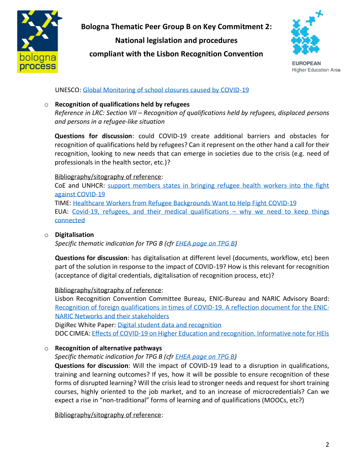

**Bologna Thematic Peer Group B on Key Commitment 2:**

**National legislation and procedures**

**compliant with the Lisbon Recognition Convention**



**EUROPEAN Higher Education Area** 

UNESCO: [Global Monitoring of school closures caused by COVID-19](https://en.unesco.org/covid19/educationresponse)

#### o **Recognition of qualifications held by refugees**

*Reference in LRC: Section VII – Recognition of qualifications held by refugees, displaced persons and persons in a refugee-like situation*

**Questions for discussion**: could COVID-19 create additional barriers and obstacles for recognition of qualifications held by refugees? Can it represent on the other hand a call for their recognition, looking to new needs that can emerge in societies due to the crisis (e.g. need of professionals in the health sector, etc.)?

#### Bibliography/sitography of reference:

CoE and UNHCR: [support members states in bringing refugee health workers into the fight](https://www.coe.int/en/web/portal/-/council-of-europe-and-unhcr-support-member-states-in-bringing-refugee-health-workers-into-the-fight-against-covid-19)  [against COVID-19](https://www.coe.int/en/web/portal/-/council-of-europe-and-unhcr-support-member-states-in-bringing-refugee-health-workers-into-the-fight-against-covid-19)

TIME: [Healthcare Workers from Refugee Backgrounds Want to Help Fight COVID-19](https://time.com/5826166/refugees-coronavirus-healthcare/) EUA: [Covid-19, refugees, and their medical qualifications](https://eua.eu/resources/expert-voices/166:covid-19,-refugees,-and-their-medical-qualifications-%E2%80%93-why-we-need-to-keep-things-connected.html) – why we need to keep things [connected](https://eua.eu/resources/expert-voices/166:covid-19,-refugees,-and-their-medical-qualifications-%E2%80%93-why-we-need-to-keep-things-connected.html)

#### o **Digitalisation**

*Specific thematic indication for TPG B (cfr [EHEA page on TPG](http://www.ehea.info/page-peer-group-B-LRC) B)*

**Questions for discussion**: has digitalisation at different level (documents, workflow, etc) been part of the solution in response to the impact of COVID-19? How is this relevant for recognition (acceptance of digital credentials, digitalisation of recognition process, etc)?

#### Bibliography/sitography of reference:

Lisbon Recognition Convention Committee Bureau, ENIC-Bureau and NARIC Advisory Board: [Recognition of foreign qualifications in times of COVID-19. A reflection document for the ENIC-](https://www.enic-naric.net/reflection-documentrecognition-of-foreign-qualifications-in-times-of-covid-19.aspx)[NARIC Networks and their stakeholders](https://www.enic-naric.net/reflection-documentrecognition-of-foreign-qualifications-in-times-of-covid-19.aspx)

DigiRec White Paper: [Digital student data and recognition](https://www.nuffic.nl/en/subjects/digirec/) DOC CIMEA: Effects of [COVID-19 on Higher Education and recognition. Informative note for HEIs](http://www.cimea.it/files/fileusers/1553_ENG_COVID19_Information_note_April_2020.pdf)

#### o **Recognition of alternative pathways**

*Specific thematic indication for TPG B (cf[r EHEA page on TPG B\)](http://www.ehea.info/page-peer-group-B-LRC)*

**Questions for discussion**: Will the impact of COVID-19 lead to a disruption in qualifications, training and learning outcomes? If yes, how it will be possible to ensure recognition of these forms of disrupted learning? Will the crisis lead to stronger needs and request for short training courses, highly oriented to the job market, and to an increase of microcredentials? Can we expect a rise in "non-traditional" forms of learning and of qualifications (MOOCs, etc?)

Bibliography/sitography of reference: